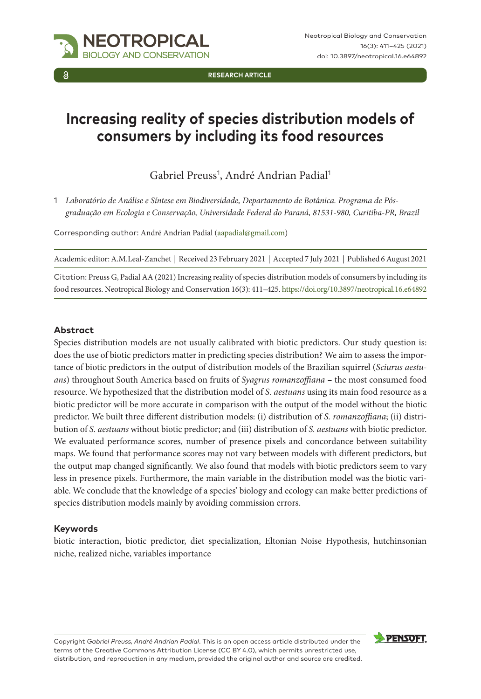

**RESEARCH ARTICLE**

# **Increasing reality of species distribution models of consumers by including its food resources**

Gabriel Preuss<sup>1</sup>, André Andrian Padial<sup>1</sup>

1 *Laboratório de Análise e Síntese em Biodiversidade, Departamento de Botânica. Programa de Pósgraduação em Ecologia e Conservação, Universidade Federal do Paraná, 81531-980, Curitiba-PR, Brazil*

Corresponding author: André Andrian Padial ([aapadial@gmail.com](mailto:aapadial@gmail.com))

Academic editor: A.M.Leal-Zanchet | Received 23 February 2021 | Accepted 7 July 2021 | Published 6 August 2021

Citation: Preuss G, Padial AA (2021) Increasing reality of species distribution models of consumers by including its food resources. Neotropical Biology and Conservation 16(3): 411–425.<https://doi.org/10.3897/neotropical.16.e64892>

#### **Abstract**

Species distribution models are not usually calibrated with biotic predictors. Our study question is: does the use of biotic predictors matter in predicting species distribution? We aim to assess the importance of biotic predictors in the output of distribution models of the Brazilian squirrel (*Sciurus aestuans*) throughout South America based on fruits of *Syagrus romanzoffiana* – the most consumed food resource. We hypothesized that the distribution model of *S. aestuans* using its main food resource as a biotic predictor will be more accurate in comparison with the output of the model without the biotic predictor. We built three different distribution models: (i) distribution of *S. romanzoffiana*; (ii) distribution of *S. aestuans* without biotic predictor; and (iii) distribution of *S. aestuans* with biotic predictor. We evaluated performance scores, number of presence pixels and concordance between suitability maps. We found that performance scores may not vary between models with different predictors, but the output map changed significantly. We also found that models with biotic predictors seem to vary less in presence pixels. Furthermore, the main variable in the distribution model was the biotic variable. We conclude that the knowledge of a species' biology and ecology can make better predictions of species distribution models mainly by avoiding commission errors.

#### **Keywords**

biotic interaction, biotic predictor, diet specialization, Eltonian Noise Hypothesis, hutchinsonian niche, realized niche, variables importance

Copyright *Gabriel Preuss, André Andrian Padial*. This is an open access article distributed under the terms of the [Creative Commons Attribution License \(CC BY 4.0\)](http://creativecommons.org/licenses/by/4.0/), which permits unrestricted use, distribution, and reproduction in any medium, provided the original author and source are credited.

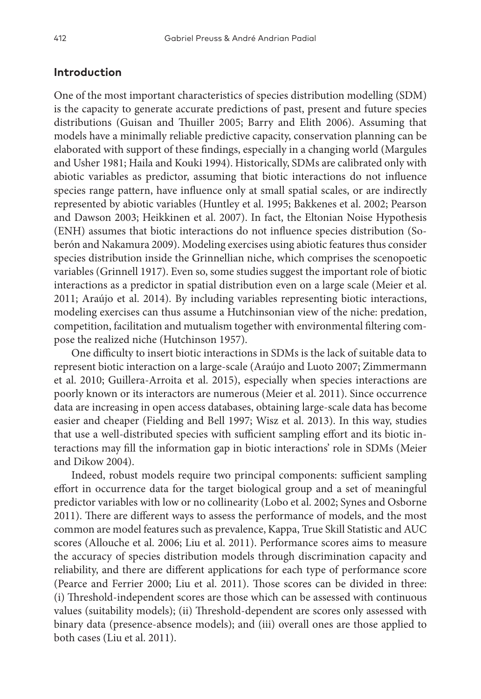## **Introduction**

One of the most important characteristics of species distribution modelling (SDM) is the capacity to generate accurate predictions of past, present and future species distributions (Guisan and Thuiller 2005; Barry and Elith 2006). Assuming that models have a minimally reliable predictive capacity, conservation planning can be elaborated with support of these findings, especially in a changing world (Margules and Usher 1981; Haila and Kouki 1994). Historically, SDMs are calibrated only with abiotic variables as predictor, assuming that biotic interactions do not influence species range pattern, have influence only at small spatial scales, or are indirectly represented by abiotic variables (Huntley et al. 1995; Bakkenes et al. 2002; Pearson and Dawson 2003; Heikkinen et al. 2007). In fact, the Eltonian Noise Hypothesis (ENH) assumes that biotic interactions do not influence species distribution (Soberón and Nakamura 2009). Modeling exercises using abiotic features thus consider species distribution inside the Grinnellian niche, which comprises the scenopoetic variables (Grinnell 1917). Even so, some studies suggest the important role of biotic interactions as a predictor in spatial distribution even on a large scale (Meier et al. 2011; Araújo et al. 2014). By including variables representing biotic interactions, modeling exercises can thus assume a Hutchinsonian view of the niche: predation, competition, facilitation and mutualism together with environmental filtering compose the realized niche (Hutchinson 1957).

One difficulty to insert biotic interactions in SDMs is the lack of suitable data to represent biotic interaction on a large-scale (Araújo and Luoto 2007; Zimmermann et al. 2010; Guillera-Arroita et al. 2015), especially when species interactions are poorly known or its interactors are numerous (Meier et al. 2011). Since occurrence data are increasing in open access databases, obtaining large-scale data has become easier and cheaper (Fielding and Bell 1997; Wisz et al. 2013). In this way, studies that use a well-distributed species with sufficient sampling effort and its biotic interactions may fill the information gap in biotic interactions' role in SDMs (Meier and Dikow 2004).

Indeed, robust models require two principal components: sufficient sampling effort in occurrence data for the target biological group and a set of meaningful predictor variables with low or no collinearity (Lobo et al. 2002; Synes and Osborne 2011). There are different ways to assess the performance of models, and the most common are model features such as prevalence, Kappa, True Skill Statistic and AUC scores (Allouche et al. 2006; Liu et al. 2011). Performance scores aims to measure the accuracy of species distribution models through discrimination capacity and reliability, and there are different applications for each type of performance score (Pearce and Ferrier 2000; Liu et al. 2011). Those scores can be divided in three: (i) Threshold-independent scores are those which can be assessed with continuous values (suitability models); (ii) Threshold-dependent are scores only assessed with binary data (presence-absence models); and (iii) overall ones are those applied to both cases (Liu et al. 2011).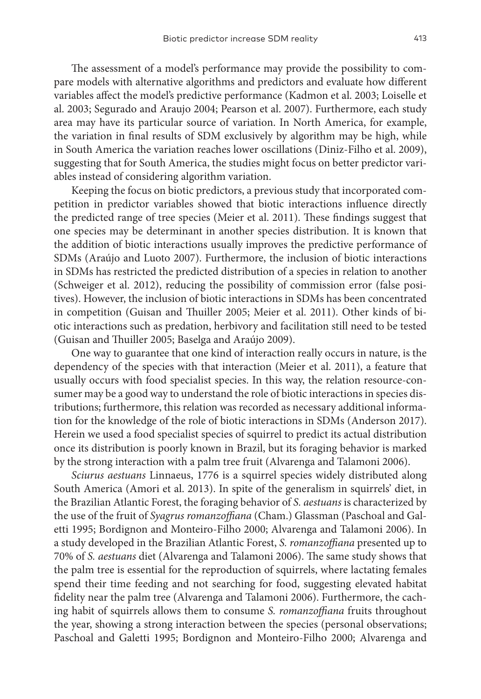The assessment of a model's performance may provide the possibility to compare models with alternative algorithms and predictors and evaluate how different variables affect the model's predictive performance (Kadmon et al. 2003; Loiselle et al. 2003; Segurado and Araujo 2004; Pearson et al. 2007). Furthermore, each study area may have its particular source of variation. In North America, for example, the variation in final results of SDM exclusively by algorithm may be high, while in South America the variation reaches lower oscillations (Diniz-Filho et al. 2009), suggesting that for South America, the studies might focus on better predictor variables instead of considering algorithm variation.

Keeping the focus on biotic predictors, a previous study that incorporated competition in predictor variables showed that biotic interactions influence directly the predicted range of tree species (Meier et al. 2011). These findings suggest that one species may be determinant in another species distribution. It is known that the addition of biotic interactions usually improves the predictive performance of SDMs (Araújo and Luoto 2007). Furthermore, the inclusion of biotic interactions in SDMs has restricted the predicted distribution of a species in relation to another (Schweiger et al. 2012), reducing the possibility of commission error (false positives). However, the inclusion of biotic interactions in SDMs has been concentrated in competition (Guisan and Thuiller 2005; Meier et al. 2011). Other kinds of biotic interactions such as predation, herbivory and facilitation still need to be tested (Guisan and Thuiller 2005; Baselga and Araújo 2009).

One way to guarantee that one kind of interaction really occurs in nature, is the dependency of the species with that interaction (Meier et al. 2011), a feature that usually occurs with food specialist species. In this way, the relation resource-consumer may be a good way to understand the role of biotic interactions in species distributions; furthermore, this relation was recorded as necessary additional information for the knowledge of the role of biotic interactions in SDMs (Anderson 2017). Herein we used a food specialist species of squirrel to predict its actual distribution once its distribution is poorly known in Brazil, but its foraging behavior is marked by the strong interaction with a palm tree fruit (Alvarenga and Talamoni 2006).

*Sciurus aestuans* Linnaeus, 1776 is a squirrel species widely distributed along South America (Amori et al. 2013). In spite of the generalism in squirrels' diet, in the Brazilian Atlantic Forest, the foraging behavior of *S. aestuans* is characterized by the use of the fruit of *Syagrus romanzoffiana* (Cham.) Glassman (Paschoal and Galetti 1995; Bordignon and Monteiro-Filho 2000; Alvarenga and Talamoni 2006). In a study developed in the Brazilian Atlantic Forest, *S. romanzoffiana* presented up to 70% of *S. aestuans* diet (Alvarenga and Talamoni 2006). The same study shows that the palm tree is essential for the reproduction of squirrels, where lactating females spend their time feeding and not searching for food, suggesting elevated habitat fidelity near the palm tree (Alvarenga and Talamoni 2006). Furthermore, the caching habit of squirrels allows them to consume *S. romanzoffiana* fruits throughout the year, showing a strong interaction between the species (personal observations; Paschoal and Galetti 1995; Bordignon and Monteiro-Filho 2000; Alvarenga and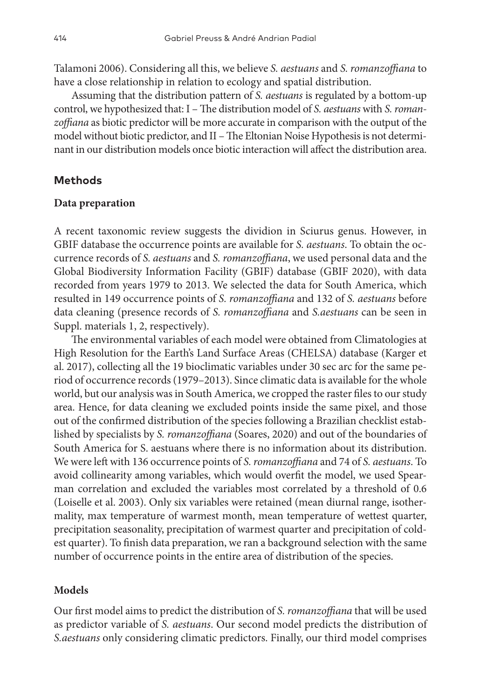Talamoni 2006). Considering all this, we believe *S. aestuans* and *S. romanzoffiana* to have a close relationship in relation to ecology and spatial distribution.

Assuming that the distribution pattern of *S. aestuans* is regulated by a bottom-up control, we hypothesized that: I – The distribution model of *S. aestuans* with *S. romanzoffiana* as biotic predictor will be more accurate in comparison with the output of the model without biotic predictor, and II – The Eltonian Noise Hypothesis is not determinant in our distribution models once biotic interaction will affect the distribution area.

#### **Methods**

#### **Data preparation**

A recent taxonomic review suggests the dividion in Sciurus genus. However, in GBIF database the occurrence points are available for *S. aestuans*. To obtain the occurrence records of *S. aestuans* and *S. romanzoffiana*, we used personal data and the Global Biodiversity Information Facility (GBIF) database (GBIF 2020), with data recorded from years 1979 to 2013. We selected the data for South America, which resulted in 149 occurrence points of *S. romanzoffiana* and 132 of *S. aestuans* before data cleaning (presence records of *S. romanzoffiana* and *S.aestuans* can be seen in Suppl. materials 1, 2, respectively).

The environmental variables of each model were obtained from Climatologies at High Resolution for the Earth's Land Surface Areas (CHELSA) database (Karger et al. 2017), collecting all the 19 bioclimatic variables under 30 sec arc for the same period of occurrence records (1979–2013). Since climatic data is available for the whole world, but our analysis was in South America, we cropped the raster files to our study area. Hence, for data cleaning we excluded points inside the same pixel, and those out of the confirmed distribution of the species following a Brazilian checklist established by specialists by *S. romanzoffiana* (Soares, 2020) and out of the boundaries of South America for S. aestuans where there is no information about its distribution. We were left with 136 occurrence points of *S. romanzoffiana* and 74 of *S. aestuans*. To avoid collinearity among variables, which would overfit the model, we used Spearman correlation and excluded the variables most correlated by a threshold of 0.6 (Loiselle et al. 2003). Only six variables were retained (mean diurnal range, isothermality, max temperature of warmest month, mean temperature of wettest quarter, precipitation seasonality, precipitation of warmest quarter and precipitation of coldest quarter). To finish data preparation, we ran a background selection with the same number of occurrence points in the entire area of distribution of the species.

#### **Models**

Our first model aims to predict the distribution of *S. romanzoffiana* that will be used as predictor variable of *S. aestuans*. Our second model predicts the distribution of *S.aestuans* only considering climatic predictors. Finally, our third model comprises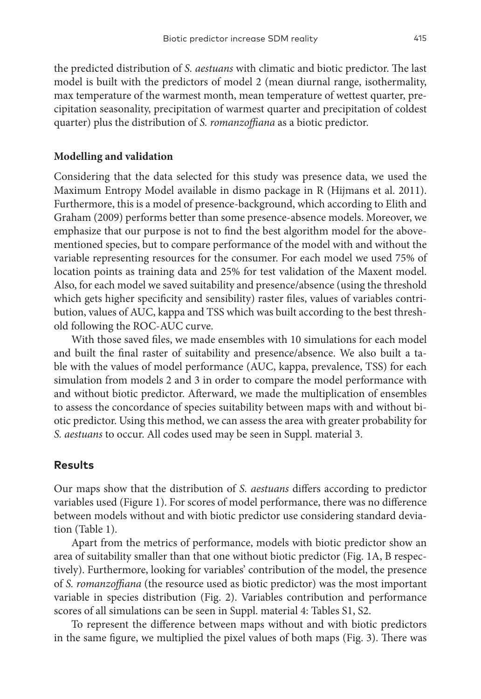the predicted distribution of *S. aestuans* with climatic and biotic predictor. The last model is built with the predictors of model 2 (mean diurnal range, isothermality, max temperature of the warmest month, mean temperature of wettest quarter, precipitation seasonality, precipitation of warmest quarter and precipitation of coldest quarter) plus the distribution of *S. romanzoffiana* as a biotic predictor.

#### **Modelling and validation**

Considering that the data selected for this study was presence data, we used the Maximum Entropy Model available in dismo package in R (Hijmans et al. 2011). Furthermore, this is a model of presence-background, which according to Elith and Graham (2009) performs better than some presence-absence models. Moreover, we emphasize that our purpose is not to find the best algorithm model for the abovementioned species, but to compare performance of the model with and without the variable representing resources for the consumer. For each model we used 75% of location points as training data and 25% for test validation of the Maxent model. Also, for each model we saved suitability and presence/absence (using the threshold which gets higher specificity and sensibility) raster files, values of variables contribution, values of AUC, kappa and TSS which was built according to the best threshold following the ROC-AUC curve.

With those saved files, we made ensembles with 10 simulations for each model and built the final raster of suitability and presence/absence. We also built a table with the values of model performance (AUC, kappa, prevalence, TSS) for each simulation from models 2 and 3 in order to compare the model performance with and without biotic predictor. Afterward, we made the multiplication of ensembles to assess the concordance of species suitability between maps with and without biotic predictor. Using this method, we can assess the area with greater probability for *S. aestuans* to occur. All codes used may be seen in Suppl. material 3.

### **Results**

Our maps show that the distribution of *S. aestuans* differs according to predictor variables used (Figure 1). For scores of model performance, there was no difference between models without and with biotic predictor use considering standard deviation (Table 1).

Apart from the metrics of performance, models with biotic predictor show an area of suitability smaller than that one without biotic predictor (Fig. 1A, B respectively). Furthermore, looking for variables' contribution of the model, the presence of *S. romanzoffiana* (the resource used as biotic predictor) was the most important variable in species distribution (Fig. 2). Variables contribution and performance scores of all simulations can be seen in Suppl. material 4: Tables S1, S2.

To represent the difference between maps without and with biotic predictors in the same figure, we multiplied the pixel values of both maps (Fig. 3). There was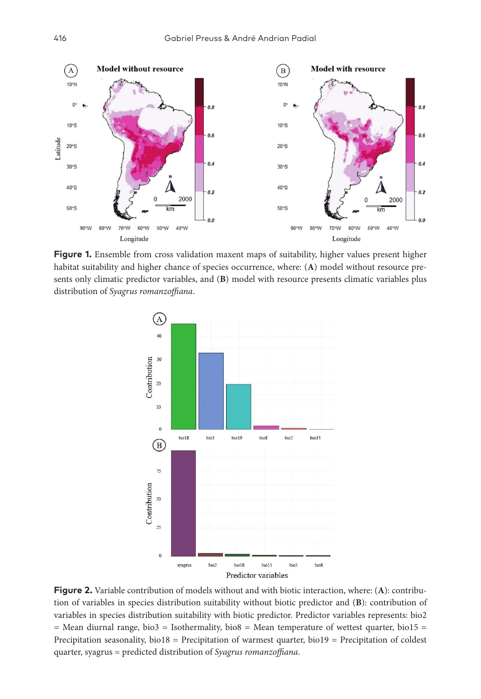

**Figure 1.** Ensemble from cross validation maxent maps of suitability, higher values present higher habitat suitability and higher chance of species occurrence, where: (**A**) model without resource presents only climatic predictor variables, and (**B**) model with resource presents climatic variables plus distribution of *Syagrus romanzoffiana*.



**Figure 2.** Variable contribution of models without and with biotic interaction, where: (**A**): contribution of variables in species distribution suitability without biotic predictor and (**B**): contribution of variables in species distribution suitability with biotic predictor. Predictor variables represents: bio2  $=$  Mean diurnal range, bio3  $=$  Isothermality, bio8  $=$  Mean temperature of wettest quarter, bio15  $=$ Precipitation seasonality, bio18 = Precipitation of warmest quarter, bio19 = Precipitation of coldest quarter, syagrus = predicted distribution of *Syagrus romanzoffiana*.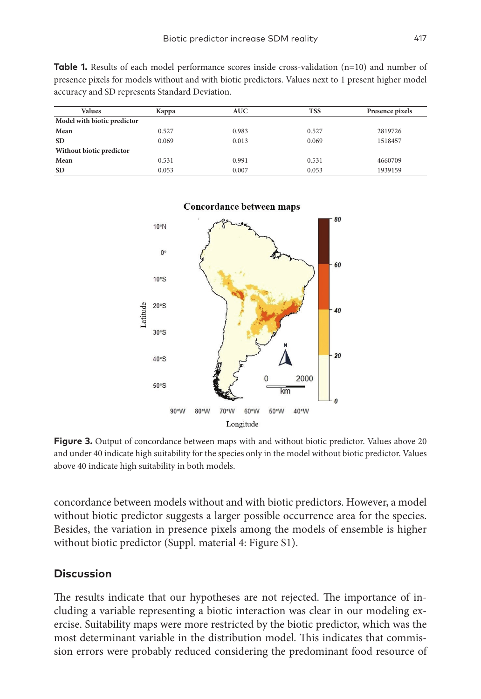| <b>Values</b>               | Kappa | <b>AUC</b> | <b>TSS</b> | Presence pixels |
|-----------------------------|-------|------------|------------|-----------------|
| Model with biotic predictor |       |            |            |                 |
| Mean                        | 0.527 | 0.983      | 0.527      | 2819726         |
| <b>SD</b>                   | 0.069 | 0.013      | 0.069      | 1518457         |
| Without biotic predictor    |       |            |            |                 |
| Mean                        | 0.531 | 0.991      | 0.531      | 4660709         |
| <b>SD</b>                   | 0.053 | 0.007      | 0.053      | 1939159         |

**Table 1.** Results of each model performance scores inside cross-validation (n=10) and number of presence pixels for models without and with biotic predictors. Values next to 1 present higher model accuracy and SD represents Standard Deviation.



**Figure 3.** Output of concordance between maps with and without biotic predictor. Values above 20 and under 40 indicate high suitability for the species only in the model without biotic predictor. Values above 40 indicate high suitability in both models.

concordance between models without and with biotic predictors. However, a model without biotic predictor suggests a larger possible occurrence area for the species. Besides, the variation in presence pixels among the models of ensemble is higher without biotic predictor (Suppl. material 4: Figure S1).

### **Discussion**

The results indicate that our hypotheses are not rejected. The importance of including a variable representing a biotic interaction was clear in our modeling exercise. Suitability maps were more restricted by the biotic predictor, which was the most determinant variable in the distribution model. This indicates that commission errors were probably reduced considering the predominant food resource of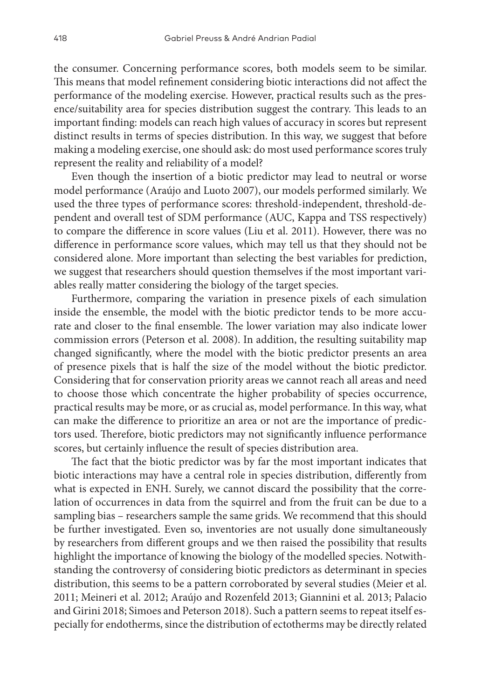the consumer. Concerning performance scores, both models seem to be similar. This means that model refinement considering biotic interactions did not affect the performance of the modeling exercise. However, practical results such as the presence/suitability area for species distribution suggest the contrary. This leads to an important finding: models can reach high values of accuracy in scores but represent distinct results in terms of species distribution. In this way, we suggest that before making a modeling exercise, one should ask: do most used performance scores truly represent the reality and reliability of a model?

Even though the insertion of a biotic predictor may lead to neutral or worse model performance (Araújo and Luoto 2007), our models performed similarly. We used the three types of performance scores: threshold-independent, threshold-dependent and overall test of SDM performance (AUC, Kappa and TSS respectively) to compare the difference in score values (Liu et al. 2011). However, there was no difference in performance score values, which may tell us that they should not be considered alone. More important than selecting the best variables for prediction, we suggest that researchers should question themselves if the most important variables really matter considering the biology of the target species.

Furthermore, comparing the variation in presence pixels of each simulation inside the ensemble, the model with the biotic predictor tends to be more accurate and closer to the final ensemble. The lower variation may also indicate lower commission errors (Peterson et al. 2008). In addition, the resulting suitability map changed significantly, where the model with the biotic predictor presents an area of presence pixels that is half the size of the model without the biotic predictor. Considering that for conservation priority areas we cannot reach all areas and need to choose those which concentrate the higher probability of species occurrence, practical results may be more, or as crucial as, model performance. In this way, what can make the difference to prioritize an area or not are the importance of predictors used. Therefore, biotic predictors may not significantly influence performance scores, but certainly influence the result of species distribution area.

The fact that the biotic predictor was by far the most important indicates that biotic interactions may have a central role in species distribution, differently from what is expected in ENH. Surely, we cannot discard the possibility that the correlation of occurrences in data from the squirrel and from the fruit can be due to a sampling bias – researchers sample the same grids. We recommend that this should be further investigated. Even so, inventories are not usually done simultaneously by researchers from different groups and we then raised the possibility that results highlight the importance of knowing the biology of the modelled species. Notwithstanding the controversy of considering biotic predictors as determinant in species distribution, this seems to be a pattern corroborated by several studies (Meier et al. 2011; Meineri et al. 2012; Araújo and Rozenfeld 2013; Giannini et al. 2013; Palacio and Girini 2018; Simoes and Peterson 2018). Such a pattern seems to repeat itself especially for endotherms, since the distribution of ectotherms may be directly related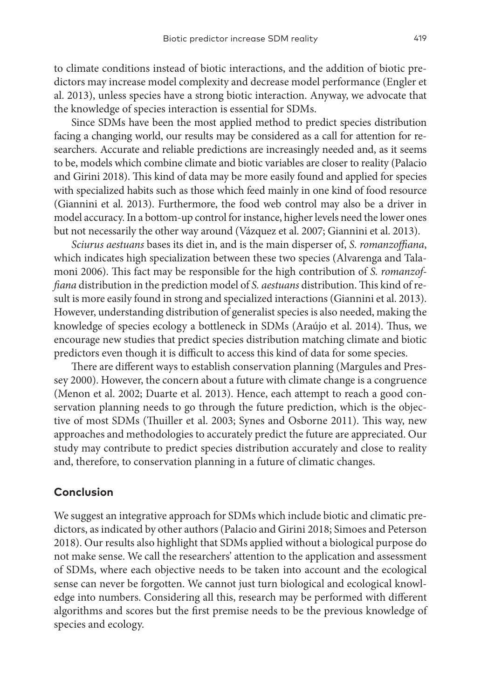to climate conditions instead of biotic interactions, and the addition of biotic predictors may increase model complexity and decrease model performance (Engler et al. 2013), unless species have a strong biotic interaction. Anyway, we advocate that the knowledge of species interaction is essential for SDMs.

Since SDMs have been the most applied method to predict species distribution facing a changing world, our results may be considered as a call for attention for researchers. Accurate and reliable predictions are increasingly needed and, as it seems to be, models which combine climate and biotic variables are closer to reality (Palacio and Girini 2018). This kind of data may be more easily found and applied for species with specialized habits such as those which feed mainly in one kind of food resource (Giannini et al. 2013). Furthermore, the food web control may also be a driver in model accuracy. In a bottom-up control for instance, higher levels need the lower ones but not necessarily the other way around (Vázquez et al. 2007; Giannini et al. 2013).

*Sciurus aestuans* bases its diet in, and is the main disperser of, *S. romanzoffiana*, which indicates high specialization between these two species (Alvarenga and Talamoni 2006). This fact may be responsible for the high contribution of *S. romanzoffiana* distribution in the prediction model of *S. aestuans* distribution. This kind of result is more easily found in strong and specialized interactions (Giannini et al. 2013). However, understanding distribution of generalist species is also needed, making the knowledge of species ecology a bottleneck in SDMs (Araújo et al. 2014). Thus, we encourage new studies that predict species distribution matching climate and biotic predictors even though it is difficult to access this kind of data for some species.

There are different ways to establish conservation planning (Margules and Pressey 2000). However, the concern about a future with climate change is a congruence (Menon et al. 2002; Duarte et al. 2013). Hence, each attempt to reach a good conservation planning needs to go through the future prediction, which is the objective of most SDMs (Thuiller et al. 2003; Synes and Osborne 2011). This way, new approaches and methodologies to accurately predict the future are appreciated. Our study may contribute to predict species distribution accurately and close to reality and, therefore, to conservation planning in a future of climatic changes.

## **Conclusion**

We suggest an integrative approach for SDMs which include biotic and climatic predictors, as indicated by other authors (Palacio and Girini 2018; Simoes and Peterson 2018). Our results also highlight that SDMs applied without a biological purpose do not make sense. We call the researchers' attention to the application and assessment of SDMs, where each objective needs to be taken into account and the ecological sense can never be forgotten. We cannot just turn biological and ecological knowledge into numbers. Considering all this, research may be performed with different algorithms and scores but the first premise needs to be the previous knowledge of species and ecology.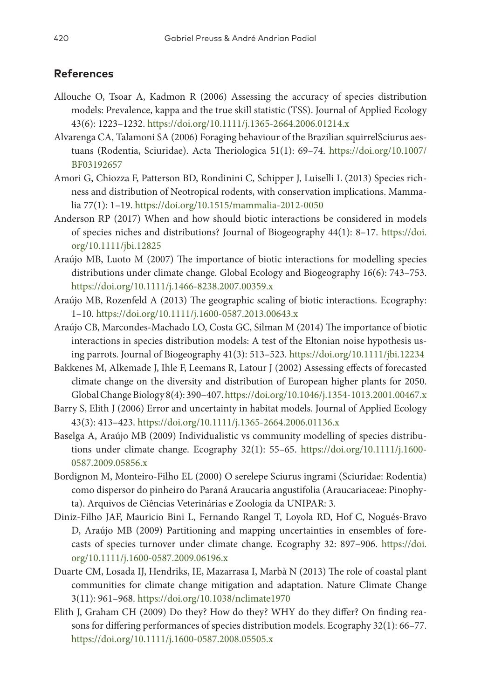# **References**

- Allouche O, Tsoar A, Kadmon R (2006) Assessing the accuracy of species distribution models: Prevalence, kappa and the true skill statistic (TSS). Journal of Applied Ecology 43(6): 1223–1232.<https://doi.org/10.1111/j.1365-2664.2006.01214.x>
- Alvarenga CA, Talamoni SA (2006) Foraging behaviour of the Brazilian squirrelSciurus aestuans (Rodentia, Sciuridae). Acta Theriologica 51(1): 69–74. [https://doi.org/10.1007/](https://doi.org/10.1007/BF03192657) [BF03192657](https://doi.org/10.1007/BF03192657)
- Amori G, Chiozza F, Patterson BD, Rondinini C, Schipper J, Luiselli L (2013) Species richness and distribution of Neotropical rodents, with conservation implications. Mammalia 77(1): 1–19.<https://doi.org/10.1515/mammalia-2012-0050>
- Anderson RP (2017) When and how should biotic interactions be considered in models of species niches and distributions? Journal of Biogeography 44(1): 8–17. [https://doi.](https://doi.org/10.1111/jbi.12825) [org/10.1111/jbi.12825](https://doi.org/10.1111/jbi.12825)
- Araújo MB, Luoto M (2007) The importance of biotic interactions for modelling species distributions under climate change. Global Ecology and Biogeography 16(6): 743–753. <https://doi.org/10.1111/j.1466-8238.2007.00359.x>
- Araújo MB, Rozenfeld A (2013) The geographic scaling of biotic interactions. Ecography: 1–10. <https://doi.org/10.1111/j.1600-0587.2013.00643.x>
- Araújo CB, Marcondes-Machado LO, Costa GC, Silman M (2014) The importance of biotic interactions in species distribution models: A test of the Eltonian noise hypothesis using parrots. Journal of Biogeography 41(3): 513–523.<https://doi.org/10.1111/jbi.12234>
- Bakkenes M, Alkemade J, Ihle F, Leemans R, Latour J (2002) Assessing effects of forecasted climate change on the diversity and distribution of European higher plants for 2050. Global Change Biology 8(4): 390–407.<https://doi.org/10.1046/j.1354-1013.2001.00467.x>
- Barry S, Elith J (2006) Error and uncertainty in habitat models. Journal of Applied Ecology 43(3): 413–423. <https://doi.org/10.1111/j.1365-2664.2006.01136.x>
- Baselga A, Araújo MB (2009) Individualistic vs community modelling of species distributions under climate change. Ecography 32(1): 55–65. [https://doi.org/10.1111/j.1600-](https://doi.org/10.1111/j.1600-0587.2009.05856.x) [0587.2009.05856.x](https://doi.org/10.1111/j.1600-0587.2009.05856.x)
- Bordignon M, Monteiro-Filho EL (2000) O serelepe Sciurus ingrami (Sciuridae: Rodentia) como dispersor do pinheiro do Paraná Araucaria angustifolia (Araucariaceae: Pinophyta). Arquivos de Ciências Veterinárias e Zoologia da UNIPAR: 3.
- Diniz-Filho JAF, Mauricio Bini L, Fernando Rangel T, Loyola RD, Hof C, Nogués-Bravo D, Araújo MB (2009) Partitioning and mapping uncertainties in ensembles of forecasts of species turnover under climate change. Ecography 32: 897–906. [https://doi.](https://doi.org/10.1111/j.1600-0587.2009.06196.x) [org/10.1111/j.1600-0587.2009.06196.x](https://doi.org/10.1111/j.1600-0587.2009.06196.x)
- Duarte CM, Losada IJ, Hendriks, IE, Mazarrasa I, Marbà N (2013) The role of coastal plant communities for climate change mitigation and adaptation. Nature Climate Change 3(11): 961–968. <https://doi.org/10.1038/nclimate1970>
- Elith J, Graham CH (2009) Do they? How do they? WHY do they differ? On finding reasons for differing performances of species distribution models. Ecography 32(1): 66–77. <https://doi.org/10.1111/j.1600-0587.2008.05505.x>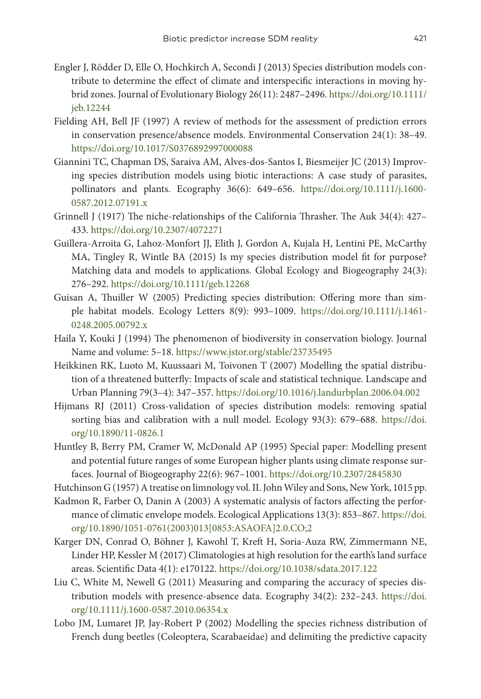- Engler J, Rödder D, Elle O, Hochkirch A, Secondi J (2013) Species distribution models contribute to determine the effect of climate and interspecific interactions in moving hybrid zones. Journal of Evolutionary Biology 26(11): 2487–2496. [https://doi.org/10.1111/](https://doi.org/10.1111/jeb.12244) [jeb.12244](https://doi.org/10.1111/jeb.12244)
- Fielding AH, Bell JF (1997) A review of methods for the assessment of prediction errors in conservation presence/absence models. Environmental Conservation 24(1): 38–49. <https://doi.org/10.1017/S0376892997000088>
- Giannini TC, Chapman DS, Saraiva AM, Alves-dos-Santos I, Biesmeijer JC (2013) Improving species distribution models using biotic interactions: A case study of parasites, pollinators and plants. Ecography 36(6): 649–656. [https://doi.org/10.1111/j.1600-](https://doi.org/10.1111/j.1600-0587.2012.07191.x) [0587.2012.07191.x](https://doi.org/10.1111/j.1600-0587.2012.07191.x)
- Grinnell J (1917) The niche-relationships of the California Thrasher. The Auk 34(4): 427– 433.<https://doi.org/10.2307/4072271>
- Guillera-Arroita G, Lahoz-Monfort JJ, Elith J, Gordon A, Kujala H, Lentini PE, McCarthy MA, Tingley R, Wintle BA (2015) Is my species distribution model fit for purpose? Matching data and models to applications. Global Ecology and Biogeography 24(3): 276–292. <https://doi.org/10.1111/geb.12268>
- Guisan A, Thuiller W (2005) Predicting species distribution: Offering more than simple habitat models. Ecology Letters 8(9): 993–1009. [https://doi.org/10.1111/j.1461-](https://doi.org/10.1111/j.1461-0248.2005.00792.x) [0248.2005.00792.x](https://doi.org/10.1111/j.1461-0248.2005.00792.x)
- Haila Y, Kouki J (1994) The phenomenon of biodiversity in conservation biology. Journal Name and volume: 5–18.<https://www.jstor.org/stable/23735495>
- Heikkinen RK, Luoto M, Kuussaari M, Toivonen T (2007) Modelling the spatial distribution of a threatened butterfly: Impacts of scale and statistical technique. Landscape and Urban Planning 79(3–4): 347–357.<https://doi.org/10.1016/j.landurbplan.2006.04.002>
- Hijmans RJ (2011) Cross-validation of species distribution models: removing spatial sorting bias and calibration with a null model. Ecology 93(3): 679–688. [https://doi.](https://doi.org/10.1890/11-0826.1) [org/10.1890/11-0826.1](https://doi.org/10.1890/11-0826.1)
- Huntley B, Berry PM, Cramer W, McDonald AP (1995) Special paper: Modelling present and potential future ranges of some European higher plants using climate response surfaces. Journal of Biogeography 22(6): 967–1001.<https://doi.org/10.2307/2845830>
- Hutchinson G (1957) A treatise on limnology vol. II. John Wiley and Sons, New York, 1015 pp.
- Kadmon R, Farber O, Danin A (2003) A systematic analysis of factors affecting the performance of climatic envelope models. Ecological Applications 13(3): 853–867. [https://doi.](https://doi.org/10.1890/1051-0761(2003)013%5B0853:ASAOFA%5D2.0.CO;2) [org/10.1890/1051-0761\(2003\)013\[0853:ASAOFA\]2.0.CO;2](https://doi.org/10.1890/1051-0761(2003)013%5B0853:ASAOFA%5D2.0.CO;2)
- Karger DN, Conrad O, Böhner J, Kawohl T, Kreft H, Soria-Auza RW, Zimmermann NE, Linder HP, Kessler M (2017) Climatologies at high resolution for the earth's land surface areas. Scientific Data 4(1): e170122.<https://doi.org/10.1038/sdata.2017.122>
- Liu C, White M, Newell G (2011) Measuring and comparing the accuracy of species distribution models with presence-absence data. Ecography 34(2): 232–243. [https://doi.](https://doi.org/10.1111/j.1600-0587.2010.06354.x) [org/10.1111/j.1600-0587.2010.06354.x](https://doi.org/10.1111/j.1600-0587.2010.06354.x)
- Lobo JM, Lumaret JP, Jay‐Robert P (2002) Modelling the species richness distribution of French dung beetles (Coleoptera, Scarabaeidae) and delimiting the predictive capacity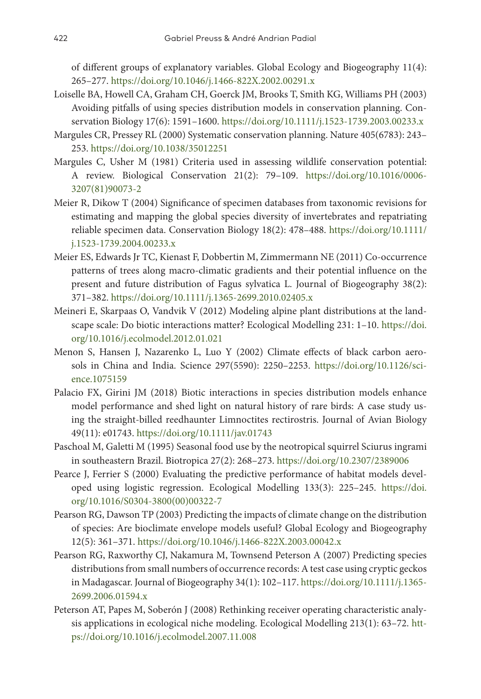of different groups of explanatory variables. Global Ecology and Biogeography 11(4): 265–277. <https://doi.org/10.1046/j.1466-822X.2002.00291.x>

- Loiselle BA, Howell CA, Graham CH, Goerck JM, Brooks T, Smith KG, Williams PH (2003) Avoiding pitfalls of using species distribution models in conservation planning. Conservation Biology 17(6): 1591–1600. <https://doi.org/10.1111/j.1523-1739.2003.00233.x>
- Margules CR, Pressey RL (2000) Systematic conservation planning. Nature 405(6783): 243– 253.<https://doi.org/10.1038/35012251>
- Margules C, Usher M (1981) Criteria used in assessing wildlife conservation potential: A review. Biological Conservation 21(2): 79–109. [https://doi.org/10.1016/0006-](https://doi.org/10.1016/0006-3207(81)90073-2) [3207\(81\)90073-2](https://doi.org/10.1016/0006-3207(81)90073-2)
- Meier R, Dikow T (2004) Significance of specimen databases from taxonomic revisions for estimating and mapping the global species diversity of invertebrates and repatriating reliable specimen data. Conservation Biology 18(2): 478–488. [https://doi.org/10.1111/](https://doi.org/10.1111/j.1523-1739.2004.00233.x) [j.1523-1739.2004.00233.x](https://doi.org/10.1111/j.1523-1739.2004.00233.x)
- Meier ES, Edwards Jr TC, Kienast F, Dobbertin M, Zimmermann NE (2011) Co-occurrence patterns of trees along macro-climatic gradients and their potential influence on the present and future distribution of Fagus sylvatica L. Journal of Biogeography 38(2): 371–382. <https://doi.org/10.1111/j.1365-2699.2010.02405.x>
- Meineri E, Skarpaas O, Vandvik V (2012) Modeling alpine plant distributions at the landscape scale: Do biotic interactions matter? Ecological Modelling 231: 1–10. [https://doi.](https://doi.org/10.1016/j.ecolmodel.2012.01.021) [org/10.1016/j.ecolmodel.2012.01.021](https://doi.org/10.1016/j.ecolmodel.2012.01.021)
- Menon S, Hansen J, Nazarenko L, Luo Y (2002) Climate effects of black carbon aerosols in China and India. Science 297(5590): 2250–2253. [https://doi.org/10.1126/sci](https://doi.org/10.1126/science.1075159)[ence.1075159](https://doi.org/10.1126/science.1075159)
- Palacio FX, Girini JM (2018) Biotic interactions in species distribution models enhance model performance and shed light on natural history of rare birds: A case study using the straight-billed reedhaunter Limnoctites rectirostris. Journal of Avian Biology 49(11): e01743. <https://doi.org/10.1111/jav.01743>
- Paschoal M, Galetti M (1995) Seasonal food use by the neotropical squirrel Sciurus ingrami in southeastern Brazil. Biotropica 27(2): 268–273.<https://doi.org/10.2307/2389006>
- Pearce J, Ferrier S (2000) Evaluating the predictive performance of habitat models developed using logistic regression. Ecological Modelling 133(3): 225–245. [https://doi.](https://doi.org/10.1016/S0304-3800(00)00322-7) [org/10.1016/S0304-3800\(00\)00322-7](https://doi.org/10.1016/S0304-3800(00)00322-7)
- Pearson RG, Dawson TP (2003) Predicting the impacts of climate change on the distribution of species: Are bioclimate envelope models useful? Global Ecology and Biogeography 12(5): 361–371. <https://doi.org/10.1046/j.1466-822X.2003.00042.x>
- Pearson RG, Raxworthy CJ, Nakamura M, Townsend Peterson A (2007) Predicting species distributions from small numbers of occurrence records: A test case using cryptic geckos in Madagascar. Journal of Biogeography 34(1): 102–117. [https://doi.org/10.1111/j.1365-](https://doi.org/10.1111/j.1365-2699.2006.01594.x) [2699.2006.01594.x](https://doi.org/10.1111/j.1365-2699.2006.01594.x)
- Peterson AT, Papes M, Soberón J (2008) Rethinking receiver operating characteristic analysis applications in ecological niche modeling. Ecological Modelling 213(1): 63–72. [htt](https://doi.org/10.1016/j.ecolmodel.2007.11.008)[ps://doi.org/10.1016/j.ecolmodel.2007.11.008](https://doi.org/10.1016/j.ecolmodel.2007.11.008)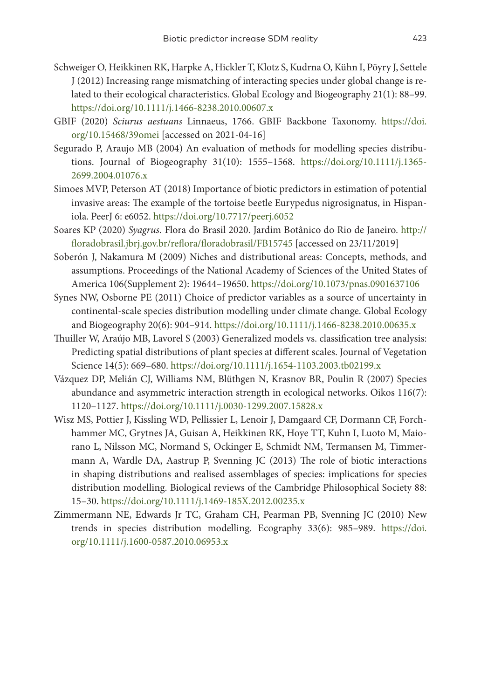- Schweiger O, Heikkinen RK, Harpke A, Hickler T, Klotz S, Kudrna O, Kühn I, Pöyry J, Settele J (2012) Increasing range mismatching of interacting species under global change is related to their ecological characteristics. Global Ecology and Biogeography 21(1): 88–99. <https://doi.org/10.1111/j.1466-8238.2010.00607.x>
- GBIF (2020) *Sciurus aestuans* Linnaeus, 1766. GBIF Backbone Taxonomy. [https://doi.](https://doi.org/10.15468/39omei) [org/10.15468/39omei](https://doi.org/10.15468/39omei) [accessed on 2021-04-16]
- Segurado P, Araujo MB (2004) An evaluation of methods for modelling species distributions. Journal of Biogeography 31(10): 1555–1568. [https://doi.org/10.1111/j.1365-](https://doi.org/10.1111/j.1365-2699.2004.01076.x) [2699.2004.01076.x](https://doi.org/10.1111/j.1365-2699.2004.01076.x)
- Simoes MVP, Peterson AT (2018) Importance of biotic predictors in estimation of potential invasive areas: The example of the tortoise beetle Eurypedus nigrosignatus, in Hispaniola. PeerJ 6: e6052.<https://doi.org/10.7717/peerj.6052>
- Soares KP (2020) *Syagrus.* Flora do Brasil 2020. Jardim Botânico do Rio de Janeiro. [http://](http://floradobrasil.jbrj.gov.br/reflora/floradobrasil/FB15745) [floradobrasil.jbrj.gov.br/reflora/floradobrasil/FB15745](http://floradobrasil.jbrj.gov.br/reflora/floradobrasil/FB15745) [accessed on 23/11/2019]
- Soberón J, Nakamura M (2009) Niches and distributional areas: Concepts, methods, and assumptions. Proceedings of the National Academy of Sciences of the United States of America 106(Supplement 2): 19644–19650.<https://doi.org/10.1073/pnas.0901637106>
- Synes NW, Osborne PE (2011) Choice of predictor variables as a source of uncertainty in continental‐scale species distribution modelling under climate change. Global Ecology and Biogeography 20(6): 904–914. <https://doi.org/10.1111/j.1466-8238.2010.00635.x>
- Thuiller W, Araújo MB, Lavorel S (2003) Generalized models vs. classification tree analysis: Predicting spatial distributions of plant species at different scales. Journal of Vegetation Science 14(5): 669–680.<https://doi.org/10.1111/j.1654-1103.2003.tb02199.x>
- Vázquez DP, Melián CJ, Williams NM, Blüthgen N, Krasnov BR, Poulin R (2007) Species abundance and asymmetric interaction strength in ecological networks. Oikos 116(7): 1120–1127. <https://doi.org/10.1111/j.0030-1299.2007.15828.x>
- Wisz MS, Pottier J, Kissling WD, Pellissier L, Lenoir J, Damgaard CF, Dormann CF, Forchhammer MC, Grytnes JA, Guisan A, Heikkinen RK, Hoye TT, Kuhn I, Luoto M, Maiorano L, Nilsson MC, Normand S, Ockinger E, Schmidt NM, Termansen M, Timmermann A, Wardle DA, Aastrup P, Svenning JC (2013) The role of biotic interactions in shaping distributions and realised assemblages of species: implications for species distribution modelling. Biological reviews of the Cambridge Philosophical Society 88: 15–30.<https://doi.org/10.1111/j.1469-185X.2012.00235.x>
- Zimmermann NE, Edwards Jr TC, Graham CH, Pearman PB, Svenning JC (2010) New trends in species distribution modelling. Ecography 33(6): 985–989. [https://doi.](https://doi.org/10.1111/j.1600-0587.2010.06953.x) [org/10.1111/j.1600-0587.2010.06953.x](https://doi.org/10.1111/j.1600-0587.2010.06953.x)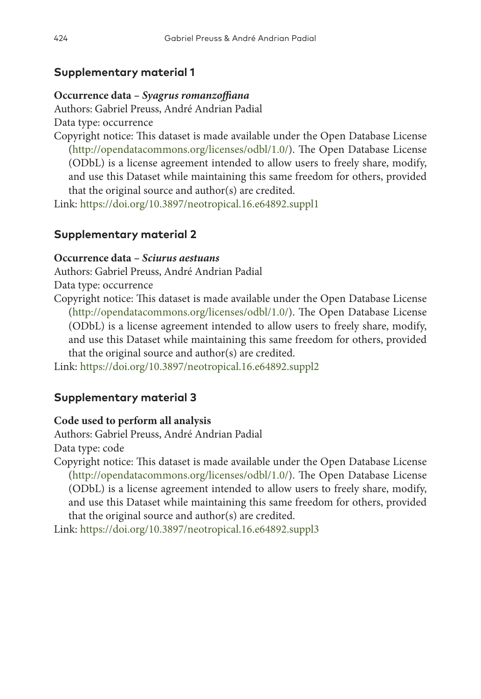# **Supplementary material 1**

# **Occurrence data –** *Syagrus romanzoffiana*

Authors: Gabriel Preuss, André Andrian Padial Data type: occurrence

Copyright notice: This dataset is made available under the Open Database License [\(http://opendatacommons.org/licenses/odbl/1.0/\)](http://opendatacommons.org/licenses/odbl/1.0/). The Open Database License (ODbL) is a license agreement intended to allow users to freely share, modify, and use this Dataset while maintaining this same freedom for others, provided that the original source and author(s) are credited.

Link: <https://doi.org/10.3897/neotropical.16.e64892.suppl1>

# **Supplementary material 2**

# **Occurrence data –** *Sciurus aestuans*

Authors: Gabriel Preuss, André Andrian Padial

Data type: occurrence

Copyright notice: This dataset is made available under the Open Database License [\(http://opendatacommons.org/licenses/odbl/1.0/\)](http://opendatacommons.org/licenses/odbl/1.0/). The Open Database License (ODbL) is a license agreement intended to allow users to freely share, modify, and use this Dataset while maintaining this same freedom for others, provided that the original source and author(s) are credited.

Link: <https://doi.org/10.3897/neotropical.16.e64892.suppl2>

# **Supplementary material 3**

# **Code used to perform all analysis**

Authors: Gabriel Preuss, André Andrian Padial

Data type: code

Copyright notice: This dataset is made available under the Open Database License [\(http://opendatacommons.org/licenses/odbl/1.0/\)](http://opendatacommons.org/licenses/odbl/1.0/). The Open Database License (ODbL) is a license agreement intended to allow users to freely share, modify, and use this Dataset while maintaining this same freedom for others, provided that the original source and author(s) are credited.

Link: <https://doi.org/10.3897/neotropical.16.e64892.suppl3>